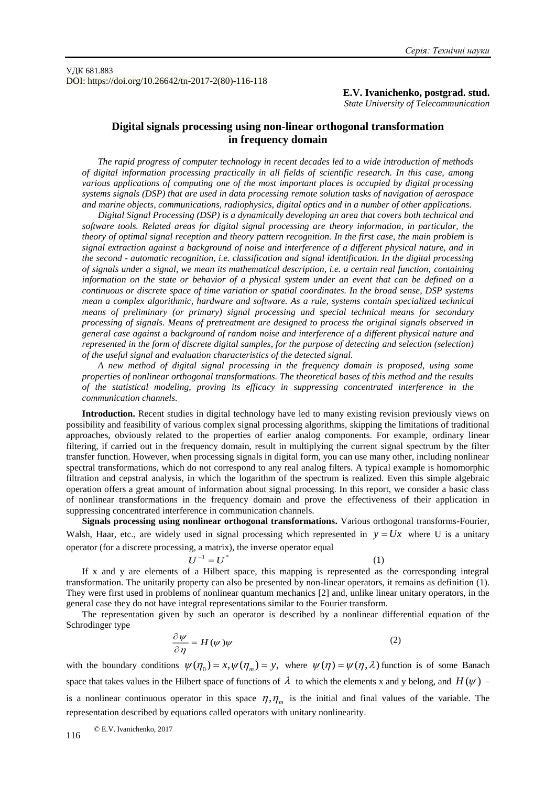УДК 681.883 DOI: https://doi.org/10.26642/tn-2017-2(80)-116-118

**E.V. Ivanichenko, postgrad. stud.**

*State University of Telecommunication*

## **Digital signals processing using non-linear orthogonal transformation in frequency domain**

*The rapid progress of computer technology in recent decades led to a wide introduction of methods of digital information processing practically in all fields of scientific research. In this case, among various applications of computing one of the most important places is occupied by digital processing systems signals (DSP) that are used in data processing remote solution tasks of navigation of aerospace and marine objects, communications, radiophysics, digital optics and in a number of other applications.*

*Digital Signal Processing (DSP) is a dynamically developing an area that covers both technical and software tools. Related areas for digital signal processing are theory information, in particular, the theory of optimal signal reception and theory pattern recognition. In the first case, the main problem is signal extraction against a background of noise and interference of a different physical nature, and in the second - automatic recognition, i.e. classification and signal identification. In the digital processing of signals under a signal, we mean its mathematical description, i.e. a certain real function, containing information on the state or behavior of a physical system under an event that can be defined on a continuous or discrete space of time variation or spatial coordinates. In the broad sense, DSP systems mean a complex algorithmic, hardware and software. As a rule, systems contain specialized technical means of preliminary (or primary) signal processing and special technical means for secondary processing of signals. Means of pretreatment are designed to process the original signals observed in general case against a background of random noise and interference of a different physical nature and represented in the form of discrete digital samples, for the purpose of detecting and selection (selection) of the useful signal and evaluation characteristics of the detected signal.*

*A new method of digital signal processing in the frequency domain is proposed, using some properties of nonlinear orthogonal transformations. The theoretical bases of this method and the results of the statistical modeling, proving its efficacy in suppressing concentrated interference in the communication channels.*

**Introduction.** Recent studies in digital technology have led to many existing revision previously views on possibility and feasibility of various complex signal processing algorithms, skipping the limitations of traditional approaches, obviously related to the properties of earlier analog components. For example, ordinary linear filtering, if carried out in the frequency domain, result in multiplying the current signal spectrum by the filter transfer function. However, when processing signals in digital form, you can use many other, including nonlinear spectral transformations, which do not correspond to any real analog filters. A typical example is homomorphic filtration and cepstral analysis, in which the logarithm of the spectrum is realized. Even this simple algebraic operation offers a great amount of information about signal processing. In this report, we consider a basic class of nonlinear transformations in the frequency domain and prove the effectiveness of their application in suppressing concentrated interference in communication channels.

**Signals processing using nonlinear orthogonal transformations.** Various orthogonal transforms-Fourier, Walsh, Haar, etc., are widely used in signal processing which represented in  $y = Ux$  where U is a unitary operator (for a discrete processing, a matrix), the inverse operator equal

$$
\frac{1}{\sqrt{1-\frac{1}{n}}}\frac{1}{\sqrt{n}}
$$

(1)

 $II$ 

If x and y are elements of a Hilbert space, this mapping is represented as the corresponding integral transformation. The unitarily property can also be presented by non-linear operators, it remains as definition (1). They were first used in problems of nonlinear quantum mechanics [2] and, unlike linear unitary operators, in the general case they do not have integral representations similar to the Fourier transform.

The representation given by such an operator is described by a nonlinear differential equation of the Schrodinger type

$$
\frac{\partial \psi}{\partial \eta} = H(\psi)\psi \tag{2}
$$

with the boundary conditions  $\psi(\eta_0) = x, \psi(\eta_m) = y$ , where  $\psi(\eta) = \psi(\eta, \lambda)$  function is of some Banach space that takes values in the Hilbert space of functions of  $\lambda$  to which the elements x and y belong, and  $H(\psi)$  – is a nonlinear continuous operator in this space  $\eta$ ,  $\eta$ <sub>m</sub> is the initial and final values of the variable. The representation described by equations called operators with unitary nonlinearity.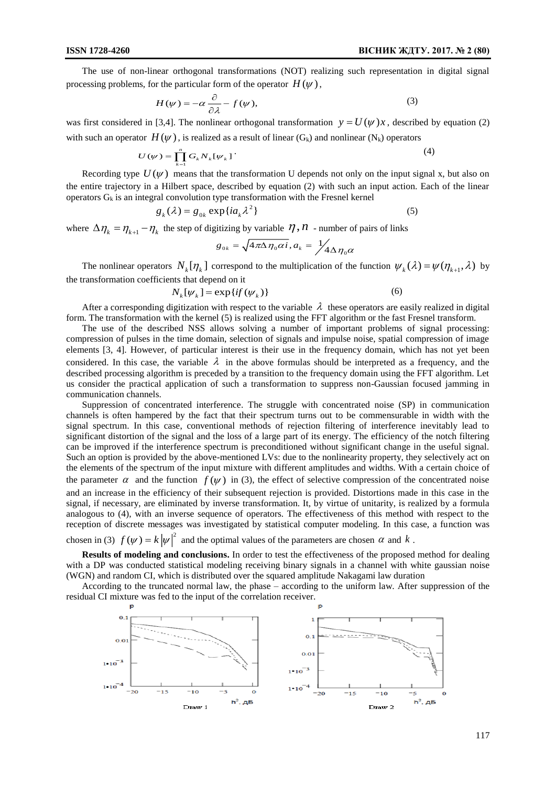The use of non-linear orthogonal transformations (NOT) realizing such representation in digital signal processing problems, for the particular form of the operator  $H(\psi)$ ,

$$
H(\psi) = -\alpha \frac{\partial}{\partial \lambda} - f(\psi),\tag{3}
$$

was first considered in [3,4]. The nonlinear orthogonal transformation  $y = U(\psi)x$ , described by equation (2) with such an operator  $H(\psi)$ , is realized as a result of linear  $(G_k)$  and nonlinear  $(N_k)$  operators

$$
U(\psi) = \prod_{k=1}^{n} G_k N_k [\psi_k] \tag{4}
$$

Recording type  $U(\psi)$  means that the transformation U depends not only on the input signal x, but also on the entire trajectory in a Hilbert space, described by equation (2) with such an input action. Each of the linear operators  $G_k$  is an integral convolution type transformation with the Fresnel kernel

$$
g_k(\lambda) = g_{0k} \exp\{ia_k\lambda^2\}
$$
 (5)

where  $\Delta \eta_k = \eta_{k+1} - \eta_k$  the step of digitizing by variable  $\eta, n$  - number of pairs of links

$$
g_{0k} = \sqrt{4\pi\Delta\eta_0\alpha i}, a_k = \frac{1}{4}\Delta\eta_0\alpha
$$

The nonlinear operators  $N_k[\eta_k]$  correspond to the multiplication of the function  $\psi_k(\lambda) = \psi(\eta_{k+1}, \lambda)$  by the transformation coefficients that depend on it

$$
N_k[\psi_k] = \exp\{if(\psi_k)\}\tag{6}
$$

After a corresponding digitization with respect to the variable  $\lambda$  these operators are easily realized in digital form. The transformation with the kernel (5) is realized using the FFT algorithm or the fast Fresnel transform.

The use of the described NSS allows solving a number of important problems of signal processing: compression of pulses in the time domain, selection of signals and impulse noise, spatial compression of image elements [3, 4]. However, of particular interest is their use in the frequency domain, which has not yet been considered. In this case, the variable  $\lambda$  in the above formulas should be interpreted as a frequency, and the described processing algorithm is preceded by a transition to the frequency domain using the FFT algorithm. Let us consider the practical application of such a transformation to suppress non-Gaussian focused jamming in communication channels.

Suppression of concentrated interference. The struggle with concentrated noise (SP) in communication channels is often hampered by the fact that their spectrum turns out to be commensurable in width with the signal spectrum. In this case, conventional methods of rejection filtering of interference inevitably lead to significant distortion of the signal and the loss of a large part of its energy. The efficiency of the notch filtering can be improved if the interference spectrum is preconditioned without significant change in the useful signal. Such an option is provided by the above-mentioned LVs: due to the nonlinearity property, they selectively act on the elements of the spectrum of the input mixture with different amplitudes and widths. With a certain choice of the parameter  $\alpha$  and the function  $f(\psi)$  in (3), the effect of selective compression of the concentrated noise and an increase in the efficiency of their subsequent rejection is provided. Distortions made in this case in the signal, if necessary, are eliminated by inverse transformation. It, by virtue of unitarity, is realized by a formula analogous to (4), with an inverse sequence of operators. The effectiveness of this method with respect to the reception of discrete messages was investigated by statistical computer modeling. In this case, a function was

chosen in (3)  $f(\psi) = k |\psi|^2$  and the optimal values of the parameters are chosen  $\alpha$  and  $k$ .

**Results of modeling and conclusions.** In order to test the effectiveness of the proposed method for dealing with a DP was conducted statistical modeling receiving binary signals in a channel with white gaussian noise (WGN) and random CI, which is distributed over the squared amplitude Nakagami law duration

According to the truncated normal law, the phase – according to the uniform law. After suppression of the residual CI mixture was fed to the input of the correlation receiver.